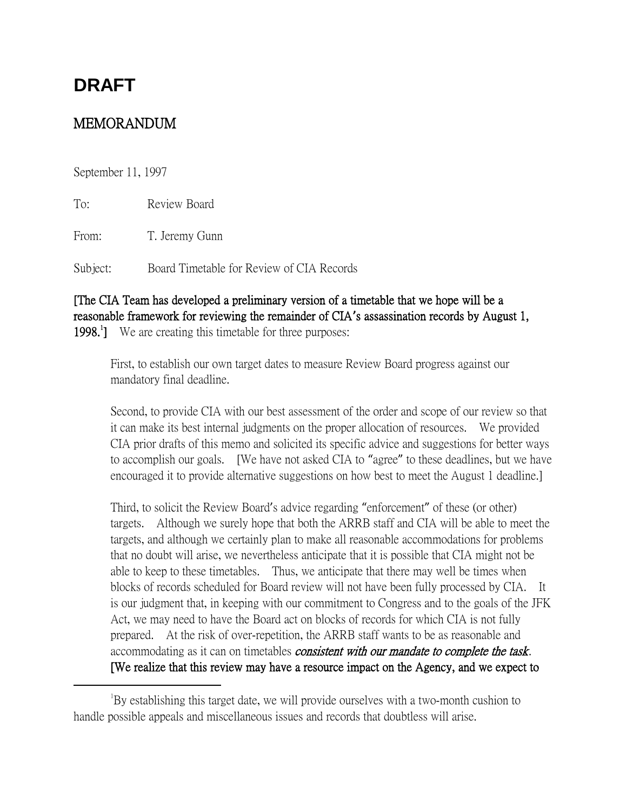# **DRAFT**

## MEMORANDUM

September 11, 1997

 $\overline{a}$ 

To: Review Board

From: T. Jeremy Gunn

Subject: Board Timetable for Review of CIA Records

## [The CIA Team has developed a preliminary version of a timetable that we hope will be a reasonable framework for reviewing the remainder of CIA**'**s assassination records by August 1, 1998.<sup>1</sup>] We are creating this timetable for three purposes:

First, to establish our own target dates to measure Review Board progress against our mandatory final deadline.

Second, to provide CIA with our best assessment of the order and scope of our review so that it can make its best internal judgments on the proper allocation of resources. We provided CIA prior drafts of this memo and solicited its specific advice and suggestions for better ways to accomplish our goals. [We have not asked CIA to "agree" to these deadlines, but we have encouraged it to provide alternative suggestions on how best to meet the August 1 deadline.]

Third, to solicit the Review Board's advice regarding "enforcement" of these (or other) targets. Although we surely hope that both the ARRB staff and CIA will be able to meet the targets, and although we certainly plan to make all reasonable accommodations for problems that no doubt will arise, we nevertheless anticipate that it is possible that CIA might not be able to keep to these timetables. Thus, we anticipate that there may well be times when blocks of records scheduled for Board review will not have been fully processed by CIA. It is our judgment that, in keeping with our commitment to Congress and to the goals of the JFK Act, we may need to have the Board act on blocks of records for which CIA is not fully prepared. At the risk of over-repetition, the ARRB staff wants to be as reasonable and accommodating as it can on timetables *consistent with our mandate to complete the task*. [We realize that this review may have a resource impact on the Agency, and we expect to

<sup>&</sup>lt;sup>1</sup>By establishing this target date, we will provide ourselves with a two-month cushion to handle possible appeals and miscellaneous issues and records that doubtless will arise.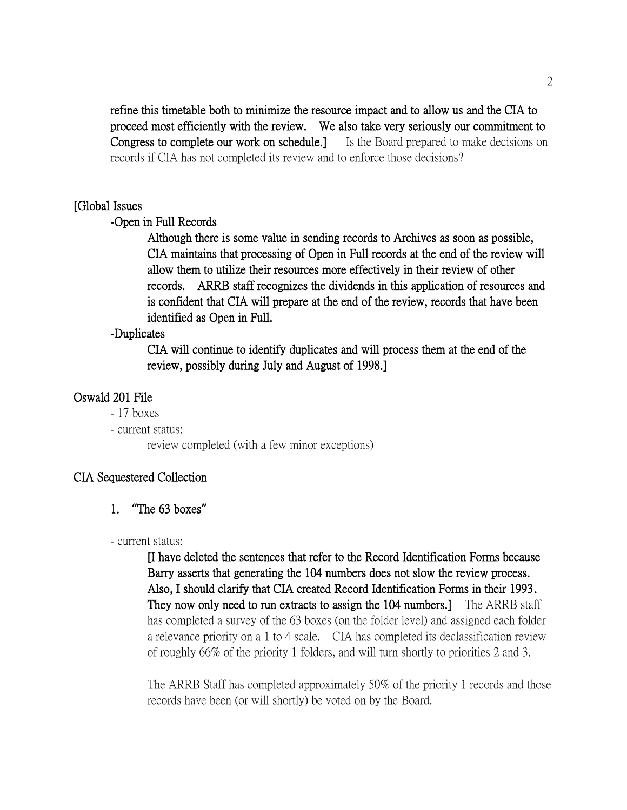refine this timetable both to minimize the resource impact and to allow us and the CIA to proceed most efficiently with the review. We also take very seriously our commitment to Congress to complete our work on schedule.] Is the Board prepared to make decisions on records if CIA has not completed its review and to enforce those decisions?

#### [Global Issues

#### -Open in Full Records

Although there is some value in sending records to Archives as soon as possible, CIA maintains that processing of Open in Full records at the end of the review will allow them to utilize their resources more effectively in their review of other records. ARRB staff recognizes the dividends in this application of resources and is confident that CIA will prepare at the end of the review, records that have been identified as Open in Full.

## -Duplicates

CIA will continue to identify duplicates and will process them at the end of the review, possibly during July and August of 1998.]

## Oswald 201 File

- 17 boxes
- current status:

review completed (with a few minor exceptions)

## CIA Sequestered Collection

1. **"**The 63 boxes**"**

#### - current status:

[I have deleted the sentences that refer to the Record Identification Forms because Barry asserts that generating the 104 numbers does not slow the review process. Also, I should clarify that CIA created Record Identification Forms in their 1993. They now only need to run extracts to assign the 104 numbers.] The ARRB staff has completed a survey of the 63 boxes (on the folder level) and assigned each folder a relevance priority on a 1 to 4 scale. CIA has completed its declassification review of roughly 66% of the priority 1 folders, and will turn shortly to priorities 2 and 3.

The ARRB Staff has completed approximately 50% of the priority 1 records and those records have been (or will shortly) be voted on by the Board.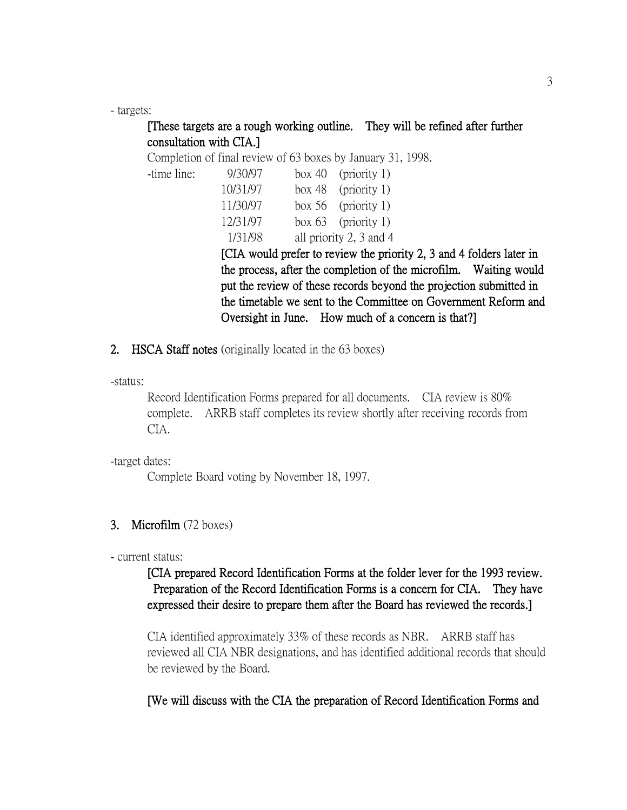- targets:

-time line:

## [These targets are a rough working outline. They will be refined after further consultation with CIA.]

Completion of final review of 63 boxes by January 31, 1998.

| 9/30/97  | box 40 (priority 1)     |
|----------|-------------------------|
| 10/31/97 | box 48 (priority 1)     |
| 11/30/97 | box $56$ (priority 1)   |
| 12/31/97 | box $63$ (priority 1)   |
| 1/31/98  | all priority 2, 3 and 4 |

[CIA would prefer to review the priority 2, 3 and 4 folders later in the process, after the completion of the microfilm. Waiting would put the review of these records beyond the projection submitted in the timetable we sent to the Committee on Government Reform and Oversight in June. How much of a concern is that?]

2. HSCA Staff notes (originally located in the 63 boxes)

-status:

Record Identification Forms prepared for all documents. CIA review is 80% complete. ARRB staff completes its review shortly after receiving records from CIA.

-target dates:

Complete Board voting by November 18, 1997.

#### 3. Microfilm (72 boxes)

- current status:

## [CIA prepared Record Identification Forms at the folder lever for the 1993 review. Preparation of the Record Identification Forms is a concern for CIA. They have expressed their desire to prepare them after the Board has reviewed the records.]

CIA identified approximately 33% of these records as NBR. ARRB staff has reviewed all CIA NBR designations, and has identified additional records that should be reviewed by the Board.

[We will discuss with the CIA the preparation of Record Identification Forms and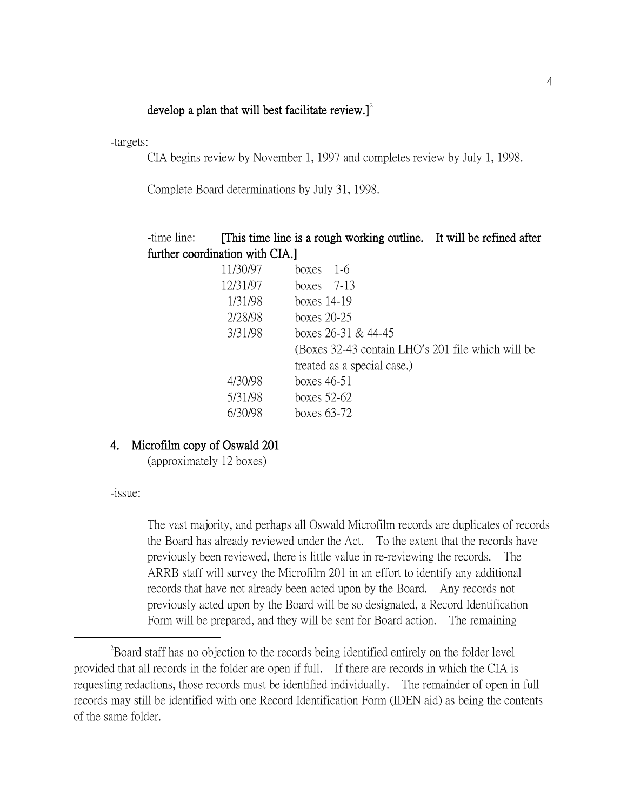## develop a plan that will best facilitate review. $]$ <sup>2</sup>

-targets:

CIA begins review by November 1, 1997 and completes review by July 1, 1998.

Complete Board determinations by July 31, 1998.

| -time line:                    |          | [This time line is a rough working outline. It will be refined after |  |
|--------------------------------|----------|----------------------------------------------------------------------|--|
| further coordination with CIA. |          |                                                                      |  |
|                                | 11/30/97 | boxes $1-6$                                                          |  |
|                                | 12/31/97 | boxes $7-13$                                                         |  |
|                                | 1/31/98  | boxes $14-19$                                                        |  |
|                                | 2/28/98  | boxes $20-25$                                                        |  |
|                                | 3/31/98  | boxes $26-31$ & $44-45$                                              |  |
|                                |          | (Boxes 32-43 contain LHO's 201 file which will be                    |  |
|                                |          | treated as a special case.)                                          |  |
|                                | 4/30/98  | boxes $46-51$                                                        |  |
|                                | 5/31/98  | boxes $52-62$                                                        |  |
|                                | 6/30/98  | boxes 63-72                                                          |  |

#### 4. Microfilm copy of Oswald 201

(approximately 12 boxes)

-issue:

 $\overline{a}$ 

The vast majority, and perhaps all Oswald Microfilm records are duplicates of records the Board has already reviewed under the Act. To the extent that the records have previously been reviewed, there is little value in re-reviewing the records. The ARRB staff will survey the Microfilm 201 in an effort to identify any additional records that have not already been acted upon by the Board. Any records not previously acted upon by the Board will be so designated, a Record Identification Form will be prepared, and they will be sent for Board action. The remaining

<sup>&</sup>lt;sup>2</sup>Board staff has no objection to the records being identified entirely on the folder level provided that all records in the folder are open if full. If there are records in which the CIA is requesting redactions, those records must be identified individually. The remainder of open in full records may still be identified with one Record Identification Form (IDEN aid) as being the contents of the same folder.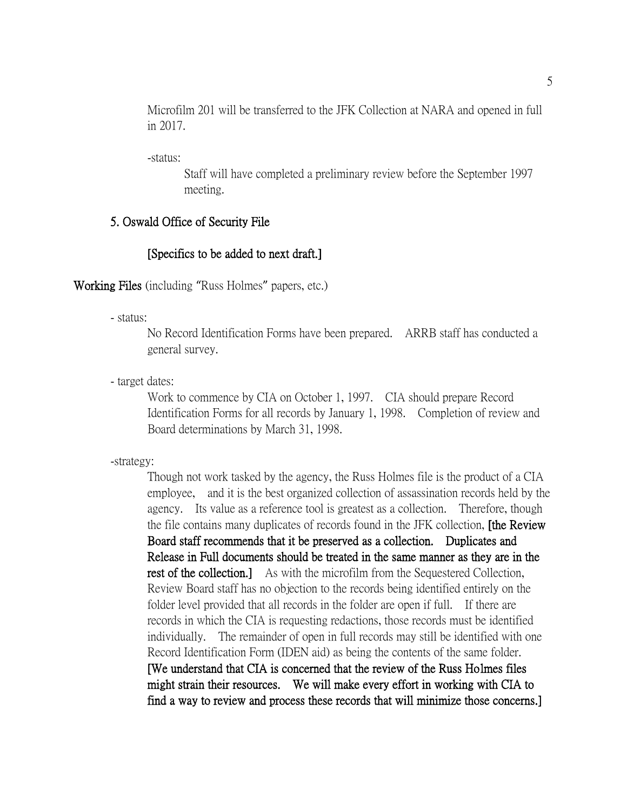Microfilm 201 will be transferred to the JFK Collection at NARA and opened in full in 2017.

-status:

Staff will have completed a preliminary review before the September 1997 meeting.

## 5. Oswald Office of Security File

#### [Specifics to be added to next draft.]

Working Files (including "Russ Holmes" papers, etc.)

- status:

No Record Identification Forms have been prepared. ARRB staff has conducted a general survey.

- target dates:

Work to commence by CIA on October 1, 1997. CIA should prepare Record Identification Forms for all records by January 1, 1998. Completion of review and Board determinations by March 31, 1998.

-strategy:

Though not work tasked by the agency, the Russ Holmes file is the product of a CIA employee, and it is the best organized collection of assassination records held by the agency. Its value as a reference tool is greatest as a collection. Therefore, though the file contains many duplicates of records found in the JFK collection, [the Review Board staff recommends that it be preserved as a collection. Duplicates and Release in Full documents should be treated in the same manner as they are in the rest of the collection.] As with the microfilm from the Sequestered Collection, Review Board staff has no objection to the records being identified entirely on the folder level provided that all records in the folder are open if full. If there are records in which the CIA is requesting redactions, those records must be identified individually. The remainder of open in full records may still be identified with one Record Identification Form (IDEN aid) as being the contents of the same folder. [We understand that CIA is concerned that the review of the Russ Holmes files might strain their resources. We will make every effort in working with CIA to find a way to review and process these records that will minimize those concerns.]